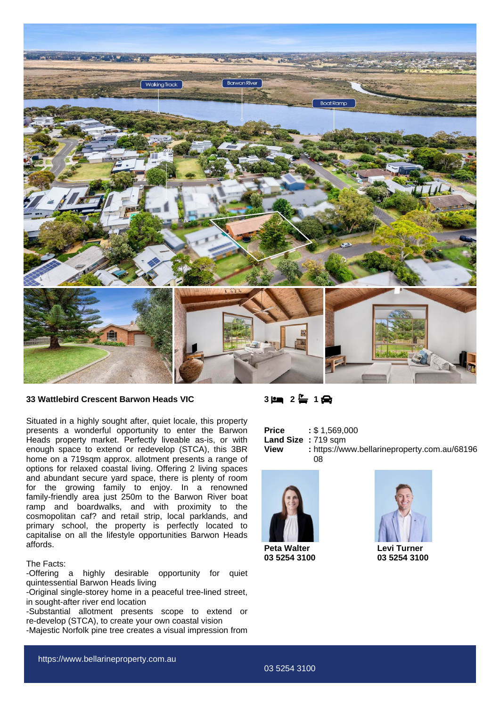

## **33 Wattlebird Crescent Barwon Heads VIC**

Situated in a highly sought after, quiet locale, this property presents a wonderful opportunity to enter the Barwon Heads property market. Perfectly liveable as-is, or with enough space to extend or redevelop (STCA), this 3BR home on a 719sqm approx. allotment presents a range of options for relaxed coastal living. Offering 2 living spaces and abundant secure yard space, there is plenty of room for the growing family to enjoy. In a renowned family-friendly area just 250m to the Barwon River boat ramp and boardwalks, and with proximity to the cosmopolitan caf? and retail strip, local parklands, and primary school, the property is perfectly located to capitalise on all the lifestyle opportunities Barwon Heads affords.

## The Facts:

-Offering a highly desirable opportunity for quiet quintessential Barwon Heads living

-Original single-storey home in a peaceful tree-lined street, in sought-after river end location

-Substantial allotment presents scope to extend or re-develop (STCA), to create your own coastal vision

-Majestic Norfolk pine tree creates a visual impression from

**3 2 1**

| <b>Price</b>       | : \$1,569,000                                |
|--------------------|----------------------------------------------|
| Land Size: 719 sqm |                                              |
| View               | : https://www.bellarineproperty.com.au/68196 |
|                    | 08                                           |



**Peta Walter 03 5254 3100**



**Levi Turner 03 5254 3100**